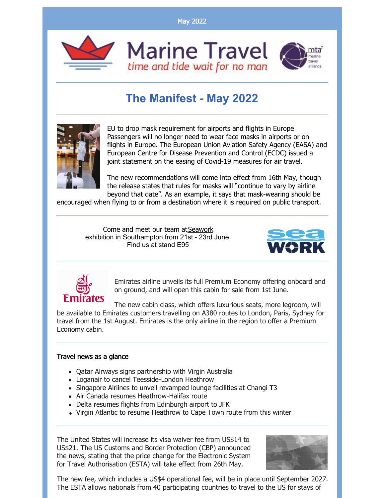May 2022





## **The Manifest - May 2022**



EU to drop mask requirement for airports and flights in Europe Passengers will no longer need to wear face masks in airports or on flights in Europe. The European Union Aviation Safety Agency (EASA) and European Centre for Disease Prevention and Control (ECDC) issued a joint statement on the easing of Covid-19 measures for air travel.

The new recommendations will come into effect from 16th May, though the release states that rules for masks will "continue to vary by airline beyond that date". As an example, it says that mask-wearing should be

encouraged when flying to or from a destination where it is required on public transport.

Come and meet our team at[Seawork](http://www.seawork.com) exhibition in Southampton from 21st - 23rd June. Find us at stand E95





Emirates airline unveils its full Premium Economy offering onboard and on ground, and will open this cabin for sale from 1st June.

The new cabin class, which offers luxurious seats, more legroom, will be available to Emirates customers travelling on A380 routes to London, Paris, Sydney for travel from the 1st August. Emirates is the only airline in the region to offer a Premium Economy cabin.

## Travel news as a glance

- Qatar Airways signs partnership with Virgin Australia
- Loganair to cancel Teesside-London Heathrow
- Singapore Airlines to unveil revamped lounge facilities at Changi T3
- Air Canada resumes Heathrow-Halifax route
- Delta resumes flights from Edinburgh airport to JFK
- Virgin Atlantic to resume Heathrow to Cape Town route from this winter

The United States will increase its visa waiver fee from US\$14 to US\$21. The US Customs and Border Protection (CBP) announced the news, stating that the price change for the Electronic System for Travel Authorisation (ESTA) will take effect from 26th May.



The new fee, which includes a US\$4 operational fee, will be in place until September 2027. The ESTA allows nationals from 40 participating countries to travel to the US for stays of